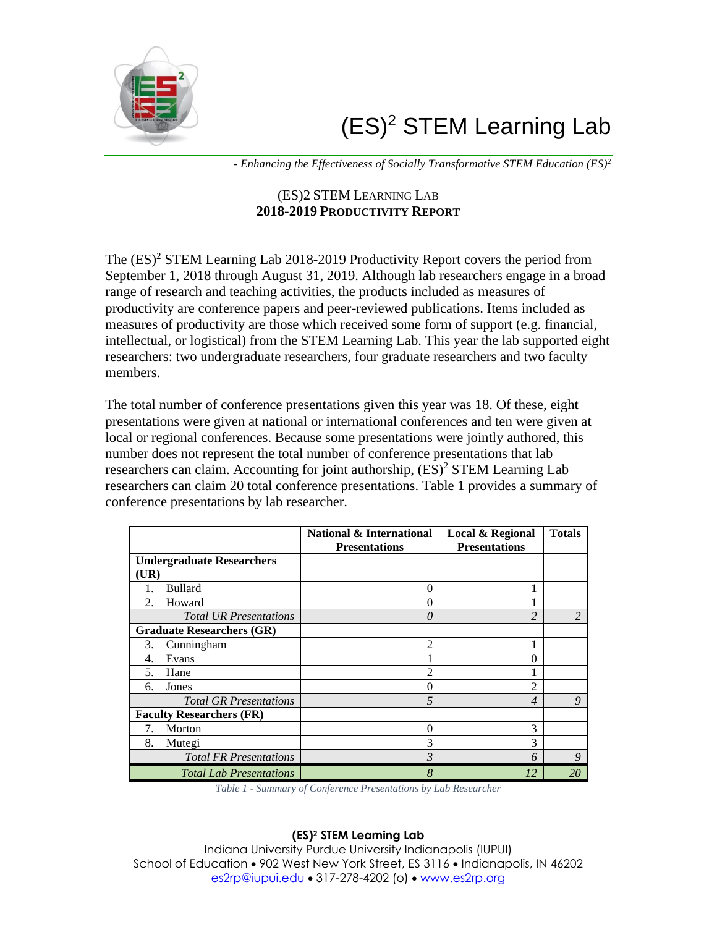# $(ES)^2$  STEM Learning Lab



*- Enhancing the Effectiveness of Socially Transformative STEM Education (ES)<sup>2</sup>*

## (ES)2 STEM LEARNING LAB **2018-2019 PRODUCTIVITY REPORT**

The  $(ES)^2$  STEM Learning Lab 2018-2019 Productivity Report covers the period from September 1, 2018 through August 31, 2019. Although lab researchers engage in a broad range of research and teaching activities, the products included as measures of productivity are conference papers and peer-reviewed publications. Items included as measures of productivity are those which received some form of support (e.g. financial, intellectual, or logistical) from the STEM Learning Lab. This year the lab supported eight researchers: two undergraduate researchers, four graduate researchers and two faculty members.

The total number of conference presentations given this year was 18. Of these, eight presentations were given at national or international conferences and ten were given at local or regional conferences. Because some presentations were jointly authored, this number does not represent the total number of conference presentations that lab researchers can claim. Accounting for joint authorship,  $(ES)^2$  STEM Learning Lab researchers can claim 20 total conference presentations. Table 1 provides a summary of conference presentations by lab researcher.

|                                  | <b>National &amp; International</b> | <b>Local &amp; Regional</b> | <b>Totals</b> |
|----------------------------------|-------------------------------------|-----------------------------|---------------|
|                                  | <b>Presentations</b>                | <b>Presentations</b>        |               |
| <b>Undergraduate Researchers</b> |                                     |                             |               |
| UR)                              |                                     |                             |               |
| <b>Bullard</b>                   | 0                                   |                             |               |
| Howard<br>$\mathfrak{D}$ .       | 0                                   |                             |               |
| <b>Total UR Presentations</b>    | 0                                   | $\overline{c}$              |               |
| <b>Graduate Researchers (GR)</b> |                                     |                             |               |
| Cunningham<br>3.                 | $\overline{c}$                      |                             |               |
| Evans<br>4.                      |                                     | 0                           |               |
| Hane<br>5.                       | 2                                   |                             |               |
| Jones<br>6.                      | 0                                   | $\overline{2}$              |               |
| <b>Total GR Presentations</b>    | 5                                   | $\overline{4}$              | 9             |
| <b>Faculty Researchers (FR)</b>  |                                     |                             |               |
| Morton<br>7.                     | 0                                   | 3                           |               |
| 8.<br>Mutegi                     | 3                                   | 3                           |               |
| <b>Total FR Presentations</b>    | 3                                   | 6                           | 9             |
| <b>Total Lab Presentations</b>   | 8                                   | 12                          | 20            |

*Table 1 - Summary of Conference Presentations by Lab Researcher*

## **(ES)<sup>2</sup> STEM Learning Lab**

Indiana University Purdue University Indianapolis (IUPUI) School of Education • 902 West New York Street, ES 3116 • Indianapolis, IN 46202 [es2rp@iupui.edu](mailto:es2rp@iupui.edu) • 317-278-4202 (o) • [www.es2rp.org](http://www.es2rp.org/)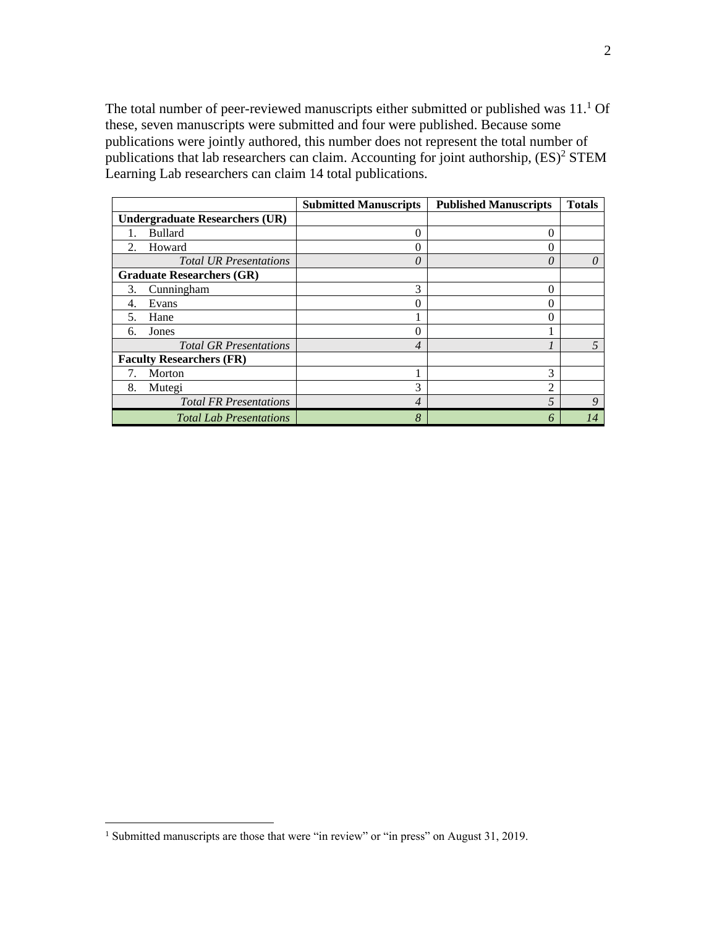The total number of peer-reviewed manuscripts either submitted or published was  $11<sup>1</sup>$  Of these, seven manuscripts were submitted and four were published. Because some publications were jointly authored, this number does not represent the total number of publications that lab researchers can claim. Accounting for joint authorship,  $(ES)^2$  STEM Learning Lab researchers can claim 14 total publications.

|                                       | <b>Submitted Manuscripts</b> | <b>Published Manuscripts</b> | <b>Totals</b> |
|---------------------------------------|------------------------------|------------------------------|---------------|
| <b>Undergraduate Researchers (UR)</b> |                              |                              |               |
| <b>Bullard</b>                        | $\theta$                     | 0                            |               |
| Howard<br>2.                          | 0                            | 0                            |               |
| <b>Total UR Presentations</b>         | 0                            | $\theta$                     |               |
| <b>Graduate Researchers (GR)</b>      |                              |                              |               |
| Cunningham<br>3.                      | 3                            | 0                            |               |
| Evans<br>4.                           | 0                            | 0                            |               |
| Hane<br>5.                            |                              | 0                            |               |
| Jones<br>6.                           | 0                            |                              |               |
| <b>Total GR Presentations</b>         | 4                            |                              |               |
| <b>Faculty Researchers (FR)</b>       |                              |                              |               |
| Morton                                |                              | 3                            |               |
| 8.<br>Mutegi                          | 3                            | $\overline{c}$               |               |
| <b>Total FR Presentations</b>         | 4                            | $\overline{5}$               | Q             |
| <b>Total Lab Presentations</b>        | 8                            | Ô                            | 14            |

<sup>&</sup>lt;sup>1</sup> Submitted manuscripts are those that were "in review" or "in press" on August 31, 2019.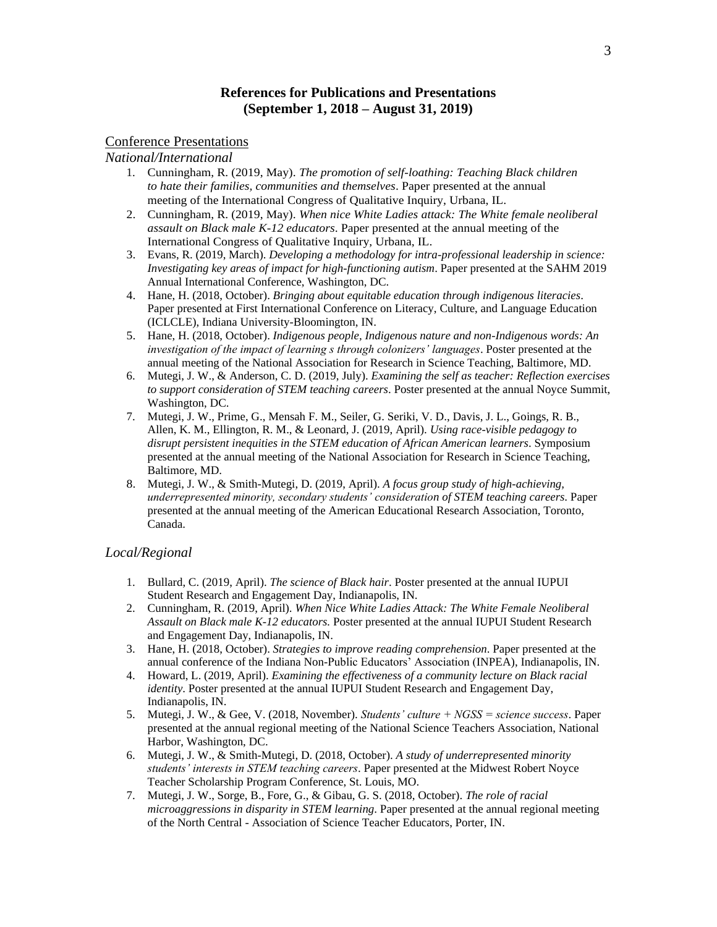### **References for Publications and Presentations (September 1, 2018 – August 31, 2019)**

#### Conference Presentations

*National/International*

- 1. Cunningham, R. (2019, May). *The promotion of self-loathing: Teaching Black children to hate their families, communities and themselves*. Paper presented at the annual meeting of the International Congress of Qualitative Inquiry, Urbana, IL.
- 2. Cunningham, R. (2019, May). *When nice White Ladies attack: The White female neoliberal assault on Black male K-12 educators*. Paper presented at the annual meeting of the International Congress of Qualitative Inquiry, Urbana, IL.
- 3. Evans, R. (2019, March). *Developing a methodology for intra-professional leadership in science: Investigating key areas of impact for high-functioning autism*. Paper presented at the SAHM 2019 Annual International Conference, Washington, DC.
- 4. Hane, H. (2018, October). *Bringing about equitable education through indigenous literacies*. Paper presented at First International Conference on Literacy, Culture, and Language Education (ICLCLE), Indiana University-Bloomington, IN.
- 5. Hane, H. (2018, October). *Indigenous people, Indigenous nature and non-Indigenous words: An investigation of the impact of learning s through colonizers' languages*. Poster presented at the annual meeting of the National Association for Research in Science Teaching, Baltimore, MD.
- 6. Mutegi, J. W., & Anderson, C. D. (2019, July). *Examining the self as teacher: Reflection exercises to support consideration of STEM teaching careers*. Poster presented at the annual Noyce Summit, Washington, DC.
- 7. Mutegi, J. W., Prime, G., Mensah F. M., Seiler, G. Seriki, V. D., Davis, J. L., Goings, R. B., Allen, K. M., Ellington, R. M., & Leonard, J. (2019, April). *Using race-visible pedagogy to disrupt persistent inequities in the STEM education of African American learners*. Symposium presented at the annual meeting of the National Association for Research in Science Teaching, Baltimore, MD.
- 8. Mutegi, J. W., & Smith-Mutegi, D. (2019, April). *A focus group study of high-achieving, underrepresented minority, secondary students' consideration of STEM teaching careers*. Paper presented at the annual meeting of the American Educational Research Association, Toronto, Canada.

#### *Local/Regional*

- 1. Bullard, C. (2019, April). *The science of Black hair*. Poster presented at the annual IUPUI Student Research and Engagement Day, Indianapolis, IN.
- 2. Cunningham, R. (2019, April). *When Nice White Ladies Attack: The White Female Neoliberal Assault on Black male K-12 educators.* Poster presented at the annual IUPUI Student Research and Engagement Day, Indianapolis, IN.
- 3. Hane, H. (2018, October). *Strategies to improve reading comprehension*. Paper presented at the annual conference of the Indiana Non-Public Educators' Association (INPEA), Indianapolis, IN.
- 4. Howard, L. (2019, April). *Examining the effectiveness of a community lecture on Black racial identity*. Poster presented at the annual IUPUI Student Research and Engagement Day, Indianapolis, IN.
- 5. Mutegi, J. W., & Gee, V. (2018, November). *Students' culture + NGSS = science success*. Paper presented at the annual regional meeting of the National Science Teachers Association, National Harbor, Washington, DC.
- 6. Mutegi, J. W., & Smith-Mutegi, D. (2018, October). *A study of underrepresented minority students' interests in STEM teaching careers*. Paper presented at the Midwest Robert Noyce Teacher Scholarship Program Conference, St. Louis, MO.
- 7. Mutegi, J. W., Sorge, B., Fore, G., & Gibau, G. S. (2018, October). *The role of racial microaggressions in disparity in STEM learning*. Paper presented at the annual regional meeting of the North Central - Association of Science Teacher Educators, Porter, IN.